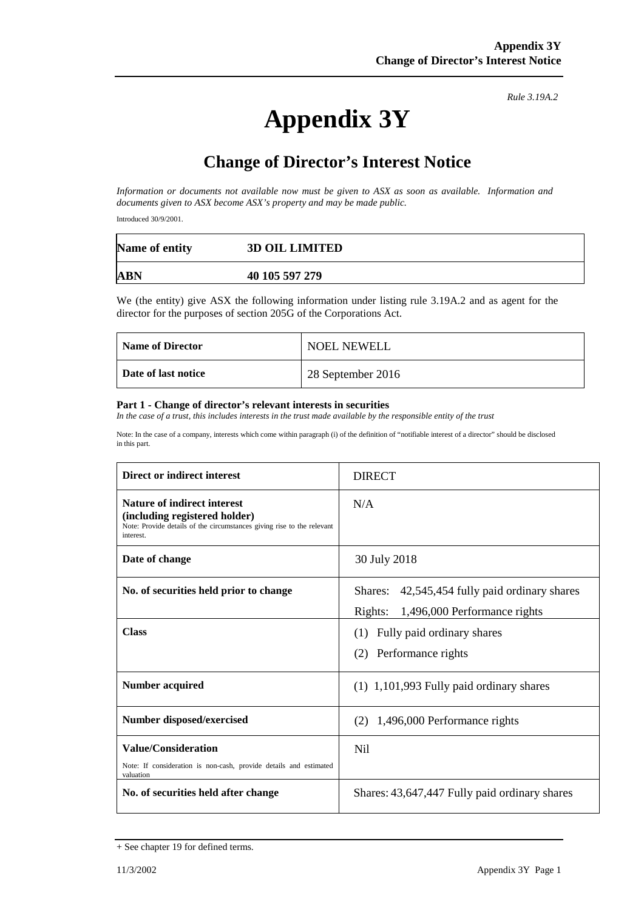# **Appendix 3Y**

*Rule 3.19A.2*

# **Change of Director's Interest Notice**

*Information or documents not available now must be given to ASX as soon as available. Information and documents given to ASX become ASX's property and may be made public.*

Introduced 30/9/2001.

| Name of entity | <b>3D OIL LIMITED</b> |
|----------------|-----------------------|
| <b>ABN</b>     | 40 105 597 279        |

We (the entity) give ASX the following information under listing rule 3.19A.2 and as agent for the director for the purposes of section 205G of the Corporations Act.

| <b>Name of Director</b> | <b>NOEL NEWELL</b> |
|-------------------------|--------------------|
| Date of last notice     | 28 September 2016  |

#### **Part 1 - Change of director's relevant interests in securities**

*In the case of a trust, this includes interests in the trust made available by the responsible entity of the trust*

Note: In the case of a company, interests which come within paragraph (i) of the definition of "notifiable interest of a director" should be disclosed in this part.

| Direct or indirect interest                                                                                                                                | <b>DIRECT</b>                                                                            |  |
|------------------------------------------------------------------------------------------------------------------------------------------------------------|------------------------------------------------------------------------------------------|--|
| <b>Nature of indirect interest</b><br>(including registered holder)<br>Note: Provide details of the circumstances giving rise to the relevant<br>interest. | N/A                                                                                      |  |
| Date of change                                                                                                                                             | 30 July 2018                                                                             |  |
| No. of securities held prior to change                                                                                                                     | 42,545,454 fully paid ordinary shares<br>Shares:<br>Rights: 1,496,000 Performance rights |  |
| <b>Class</b>                                                                                                                                               | Fully paid ordinary shares<br>(1)<br>(2) Performance rights                              |  |
| <b>Number acquired</b>                                                                                                                                     | $(1)$ 1,101,993 Fully paid ordinary shares                                               |  |
| Number disposed/exercised                                                                                                                                  | $(2)$ 1,496,000 Performance rights                                                       |  |
| <b>Value/Consideration</b><br>Note: If consideration is non-cash, provide details and estimated<br>valuation                                               | N <sub>i</sub> l                                                                         |  |
| No. of securities held after change                                                                                                                        | Shares: 43,647,447 Fully paid ordinary shares                                            |  |

<sup>+</sup> See chapter 19 for defined terms.